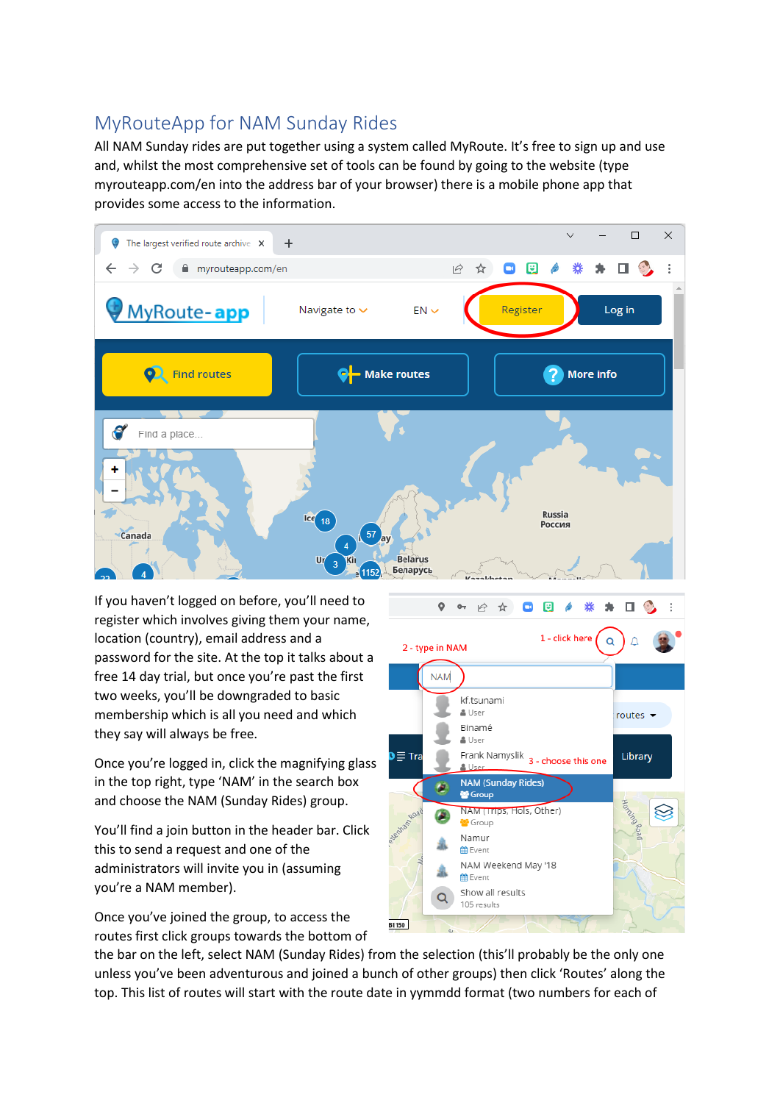## MyRouteApp for NAM Sunday Rides

All NAM Sunday rides are put together using a system called MyRoute. It's free to sign up and use and, whilst the most comprehensive set of tools can be found by going to the website (type myrouteapp.com/en into the address bar of your browser) there is a mobile phone app that provides some access to the information.



If you haven't logged on before, you'll need to register which involves giving them your name, location (country), email address and a password for the site. At the top it talks about a free 14 day trial, but once you're past the first two weeks, you'll be downgraded to basic membership which is all you need and which they say will always be free.

Once you're logged in, click the magnifying glass in the top right, type 'NAM' in the search box and choose the NAM (Sunday Rides) group.

You'll find a join button in the header bar. Click this to send a request and one of the administrators will invite you in (assuming you're a NAM member).

Once you've joined the group, to access the routes first click groups towards the bottom of



the bar on the left, select NAM (Sunday Rides) from the selection (this'll probably be the only one unless you've been adventurous and joined a bunch of other groups) then click 'Routes' along the top. This list of routes will start with the route date in yymmdd format (two numbers for each of